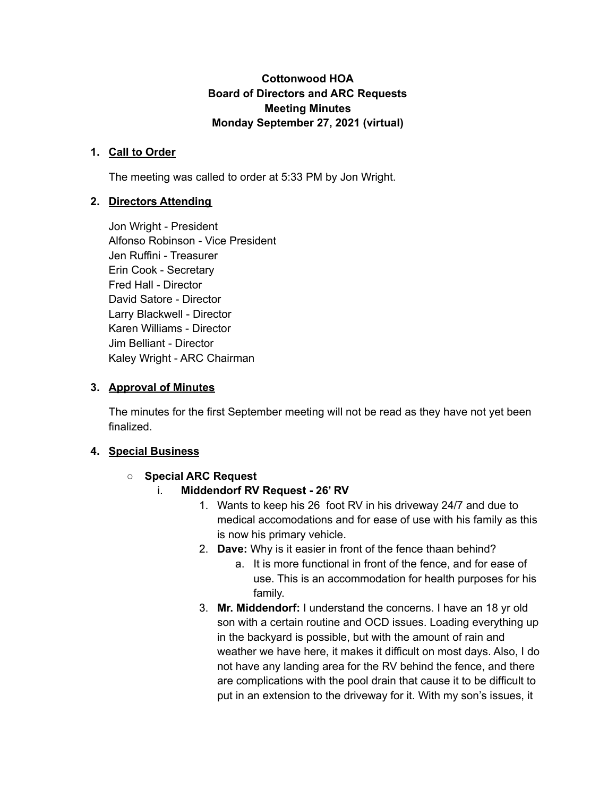### **Cottonwood HOA Board of Directors and ARC Requests Meeting Minutes Monday September 27, 2021 (virtual)**

#### **1. Call to Order**

The meeting was called to order at 5:33 PM by Jon Wright.

### **2. Directors Attending**

Jon Wright - President Alfonso Robinson - Vice President Jen Ruffini - Treasurer Erin Cook - Secretary Fred Hall - Director David Satore - Director Larry Blackwell - Director Karen Williams - Director Jim Belliant - Director Kaley Wright - ARC Chairman

### **3. Approval of Minutes**

The minutes for the first September meeting will not be read as they have not yet been finalized.

### **4. Special Business**

### **○ Special ARC Request**

- i. **Middendorf RV Request - 26' RV**
	- 1. Wants to keep his 26 foot RV in his driveway 24/7 and due to medical accomodations and for ease of use with his family as this is now his primary vehicle.
	- 2. **Dave:** Why is it easier in front of the fence thaan behind?
		- a. It is more functional in front of the fence, and for ease of use. This is an accommodation for health purposes for his family.
	- 3. **Mr. Middendorf:** I understand the concerns. I have an 18 yr old son with a certain routine and OCD issues. Loading everything up in the backyard is possible, but with the amount of rain and weather we have here, it makes it difficult on most days. Also, I do not have any landing area for the RV behind the fence, and there are complications with the pool drain that cause it to be difficult to put in an extension to the driveway for it. With my son's issues, it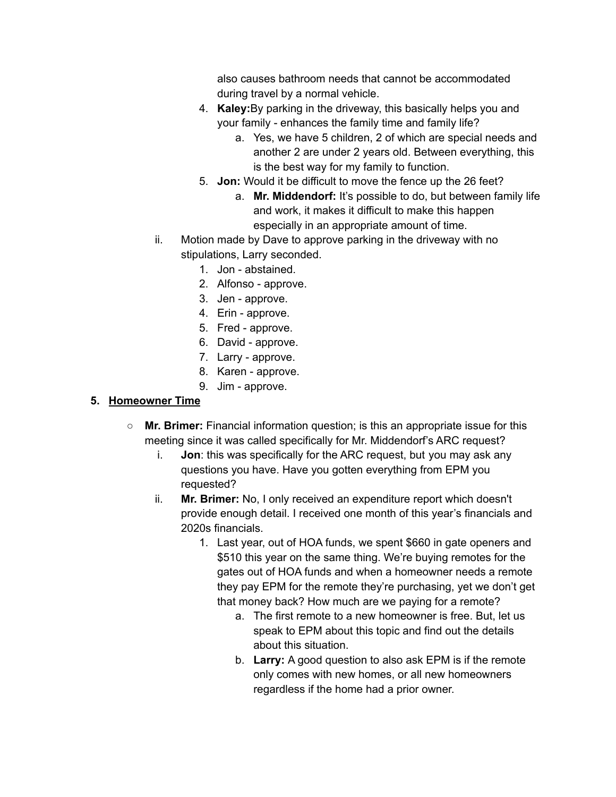also causes bathroom needs that cannot be accommodated during travel by a normal vehicle.

- 4. **Kaley:**By parking in the driveway, this basically helps you and your family - enhances the family time and family life?
	- a. Yes, we have 5 children, 2 of which are special needs and another 2 are under 2 years old. Between everything, this is the best way for my family to function.
- 5. **Jon:** Would it be difficult to move the fence up the 26 feet?
	- a. **Mr. Middendorf:** It's possible to do, but between family life and work, it makes it difficult to make this happen especially in an appropriate amount of time.
- ii. Motion made by Dave to approve parking in the driveway with no stipulations, Larry seconded.
	- 1. Jon abstained.
	- 2. Alfonso approve.
	- 3. Jen approve.
	- 4. Erin approve.
	- 5. Fred approve.
	- 6. David approve.
	- 7. Larry approve.
	- 8. Karen approve.
	- 9. Jim approve.

### **5. Homeowner Time**

- **○ Mr. Brimer:** Financial information question; is this an appropriate issue for this meeting since it was called specifically for Mr. Middendorf's ARC request?
	- i. **Jon**: this was specifically for the ARC request, but you may ask any questions you have. Have you gotten everything from EPM you requested?
	- ii. **Mr. Brimer:** No, I only received an expenditure report which doesn't provide enough detail. I received one month of this year's financials and 2020s financials.
		- 1. Last year, out of HOA funds, we spent \$660 in gate openers and \$510 this year on the same thing. We're buying remotes for the gates out of HOA funds and when a homeowner needs a remote they pay EPM for the remote they're purchasing, yet we don't get that money back? How much are we paying for a remote?
			- a. The first remote to a new homeowner is free. But, let us speak to EPM about this topic and find out the details about this situation.
			- b. **Larry:** A good question to also ask EPM is if the remote only comes with new homes, or all new homeowners regardless if the home had a prior owner.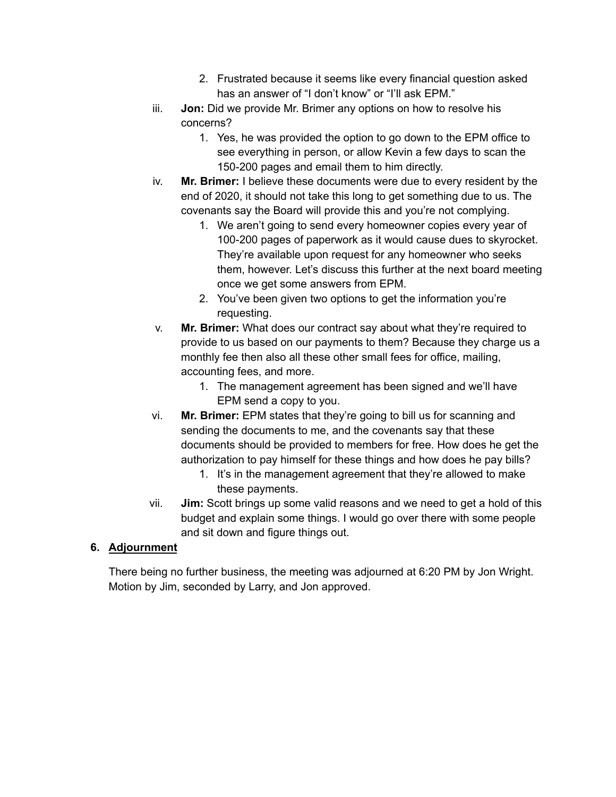- 2. Frustrated because it seems like every financial question asked has an answer of "I don't know" or "I'll ask EPM."
- iii. **Jon:** Did we provide Mr. Brimer any options on how to resolve his concerns?
	- 1. Yes, he was provided the option to go down to the EPM office to see everything in person, or allow Kevin a few days to scan the 150-200 pages and email them to him directly.
- iv. **Mr. Brimer:** I believe these documents were due to every resident by the end of 2020, it should not take this long to get something due to us. The covenants say the Board will provide this and you're not complying.
	- 1. We aren't going to send every homeowner copies every year of 100-200 pages of paperwork as it would cause dues to skyrocket. They're available upon request for any homeowner who seeks them, however. Let's discuss this further at the next board meeting once we get some answers from EPM.
	- 2. You've been given two options to get the information you're requesting.
- v. **Mr. Brimer:** What does our contract say about what they're required to provide to us based on our payments to them? Because they charge us a monthly fee then also all these other small fees for office, mailing, accounting fees, and more.
	- 1. The management agreement has been signed and we'll have EPM send a copy to you.
- vi. **Mr. Brimer:** EPM states that they're going to bill us for scanning and sending the documents to me, and the covenants say that these documents should be provided to members for free. How does he get the authorization to pay himself for these things and how does he pay bills?
	- 1. It's in the management agreement that they're allowed to make these payments.
- vii. **Jim:** Scott brings up some valid reasons and we need to get a hold of this budget and explain some things. I would go over there with some people and sit down and figure things out.

## **6. Adjournment**

There being no further business, the meeting was adjourned at 6:20 PM by Jon Wright. Motion by Jim, seconded by Larry, and Jon approved.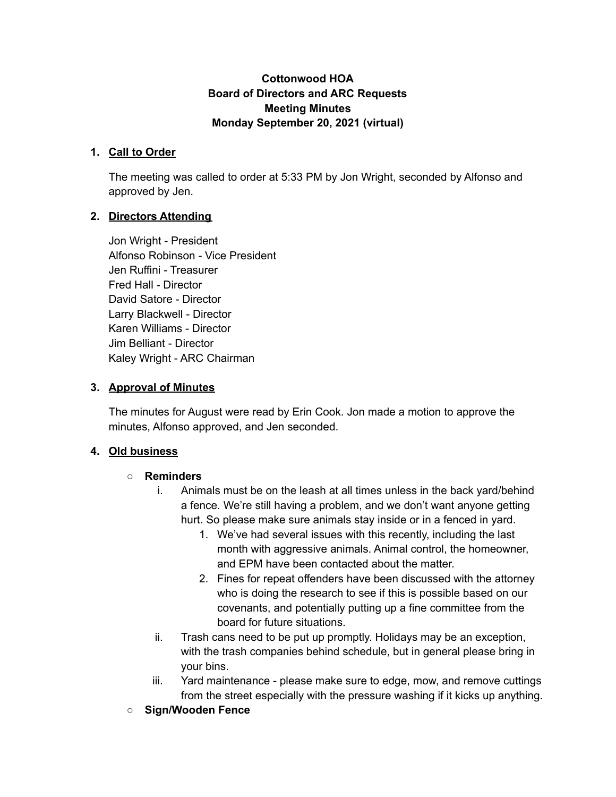### **Cottonwood HOA Board of Directors and ARC Requests Meeting Minutes Monday September 20, 2021 (virtual)**

#### **1. Call to Order**

The meeting was called to order at 5:33 PM by Jon Wright, seconded by Alfonso and approved by Jen.

### **2. Directors Attending**

Jon Wright - President Alfonso Robinson - Vice President Jen Ruffini - Treasurer Fred Hall - Director David Satore - Director Larry Blackwell - Director Karen Williams - Director Jim Belliant - Director Kaley Wright - ARC Chairman

#### **3. Approval of Minutes**

The minutes for August were read by Erin Cook. Jon made a motion to approve the minutes, Alfonso approved, and Jen seconded.

#### **4. Old business**

#### **○ Reminders**

- i. Animals must be on the leash at all times unless in the back yard/behind a fence. We're still having a problem, and we don't want anyone getting hurt. So please make sure animals stay inside or in a fenced in yard.
	- 1. We've had several issues with this recently, including the last month with aggressive animals. Animal control, the homeowner, and EPM have been contacted about the matter.
	- 2. Fines for repeat offenders have been discussed with the attorney who is doing the research to see if this is possible based on our covenants, and potentially putting up a fine committee from the board for future situations.
- ii. Trash cans need to be put up promptly. Holidays may be an exception, with the trash companies behind schedule, but in general please bring in your bins.
- iii. Yard maintenance please make sure to edge, mow, and remove cuttings from the street especially with the pressure washing if it kicks up anything.
- **○ Sign/Wooden Fence**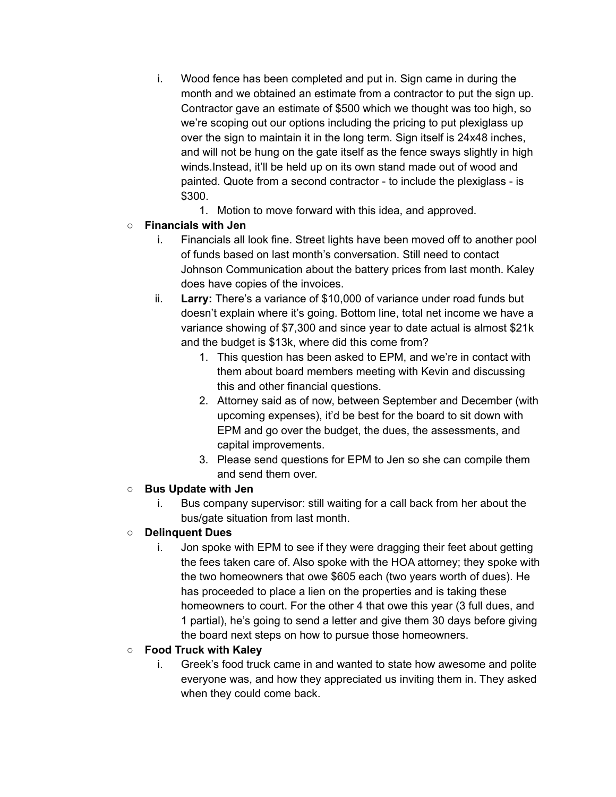- i. Wood fence has been completed and put in. Sign came in during the month and we obtained an estimate from a contractor to put the sign up. Contractor gave an estimate of \$500 which we thought was too high, so we're scoping out our options including the pricing to put plexiglass up over the sign to maintain it in the long term. Sign itself is 24x48 inches, and will not be hung on the gate itself as the fence sways slightly in high winds.Instead, it'll be held up on its own stand made out of wood and painted. Quote from a second contractor - to include the plexiglass - is \$300.
	- 1. Motion to move forward with this idea, and approved.

### **○ Financials with Jen**

- i. Financials all look fine. Street lights have been moved off to another pool of funds based on last month's conversation. Still need to contact Johnson Communication about the battery prices from last month. Kaley does have copies of the invoices.
- ii. **Larry:** There's a variance of \$10,000 of variance under road funds but doesn't explain where it's going. Bottom line, total net income we have a variance showing of \$7,300 and since year to date actual is almost \$21k and the budget is \$13k, where did this come from?
	- 1. This question has been asked to EPM, and we're in contact with them about board members meeting with Kevin and discussing this and other financial questions.
	- 2. Attorney said as of now, between September and December (with upcoming expenses), it'd be best for the board to sit down with EPM and go over the budget, the dues, the assessments, and capital improvements.
	- 3. Please send questions for EPM to Jen so she can compile them and send them over.

### **○ Bus Update with Jen**

i. Bus company supervisor: still waiting for a call back from her about the bus/gate situation from last month.

## ○ **Delinquent Dues**

i. Jon spoke with EPM to see if they were dragging their feet about getting the fees taken care of. Also spoke with the HOA attorney; they spoke with the two homeowners that owe \$605 each (two years worth of dues). He has proceeded to place a lien on the properties and is taking these homeowners to court. For the other 4 that owe this year (3 full dues, and 1 partial), he's going to send a letter and give them 30 days before giving the board next steps on how to pursue those homeowners.

## **○ Food Truck with Kaley**

i. Greek's food truck came in and wanted to state how awesome and polite everyone was, and how they appreciated us inviting them in. They asked when they could come back.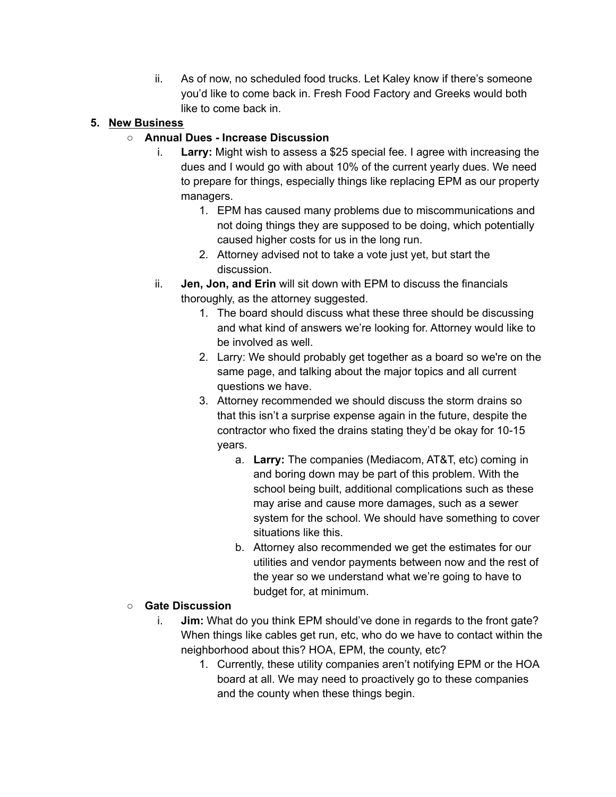ii. As of now, no scheduled food trucks. Let Kaley know if there's someone you'd like to come back in. Fresh Food Factory and Greeks would both like to come back in.

## **5. New Business**

## **○ Annual Dues - Increase Discussion**

- i. **Larry:** Might wish to assess a \$25 special fee. I agree with increasing the dues and I would go with about 10% of the current yearly dues. We need to prepare for things, especially things like replacing EPM as our property managers.
	- 1. EPM has caused many problems due to miscommunications and not doing things they are supposed to be doing, which potentially caused higher costs for us in the long run.
	- 2. Attorney advised not to take a vote just yet, but start the discussion.
- ii. **Jen, Jon, and Erin** will sit down with EPM to discuss the financials thoroughly, as the attorney suggested.
	- 1. The board should discuss what these three should be discussing and what kind of answers we're looking for. Attorney would like to be involved as well.
	- 2. Larry: We should probably get together as a board so we're on the same page, and talking about the major topics and all current questions we have.
	- 3. Attorney recommended we should discuss the storm drains so that this isn't a surprise expense again in the future, despite the contractor who fixed the drains stating they'd be okay for 10-15 years.
		- a. **Larry:** The companies (Mediacom, AT&T, etc) coming in and boring down may be part of this problem. With the school being built, additional complications such as these may arise and cause more damages, such as a sewer system for the school. We should have something to cover situations like this.
		- b. Attorney also recommended we get the estimates for our utilities and vendor payments between now and the rest of the year so we understand what we're going to have to budget for, at minimum.

## **○ Gate Discussion**

- i. **Jim:** What do you think EPM should've done in regards to the front gate? When things like cables get run, etc, who do we have to contact within the neighborhood about this? HOA, EPM, the county, etc?
	- 1. Currently, these utility companies aren't notifying EPM or the HOA board at all. We may need to proactively go to these companies and the county when these things begin.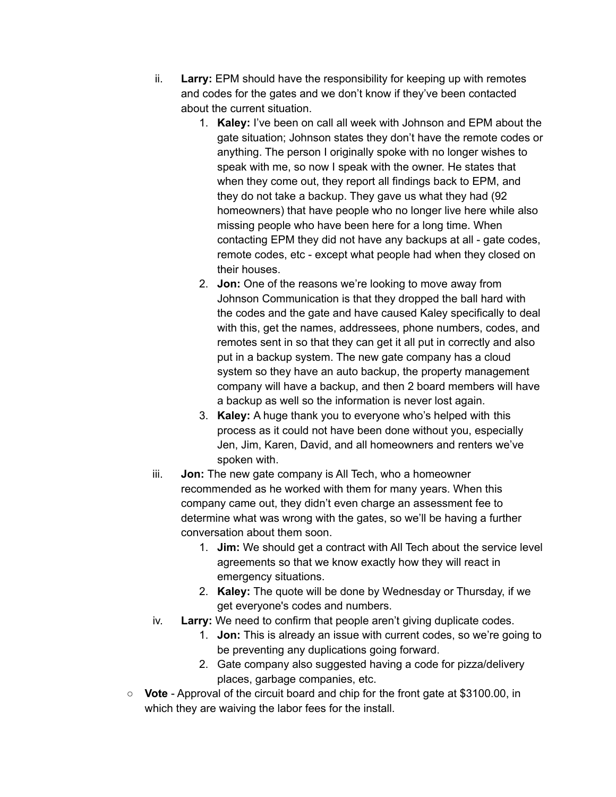- ii. **Larry:** EPM should have the responsibility for keeping up with remotes and codes for the gates and we don't know if they've been contacted about the current situation.
	- 1. **Kaley:** I've been on call all week with Johnson and EPM about the gate situation; Johnson states they don't have the remote codes or anything. The person I originally spoke with no longer wishes to speak with me, so now I speak with the owner. He states that when they come out, they report all findings back to EPM, and they do not take a backup. They gave us what they had (92 homeowners) that have people who no longer live here while also missing people who have been here for a long time. When contacting EPM they did not have any backups at all - gate codes, remote codes, etc - except what people had when they closed on their houses.
	- 2. **Jon:** One of the reasons we're looking to move away from Johnson Communication is that they dropped the ball hard with the codes and the gate and have caused Kaley specifically to deal with this, get the names, addressees, phone numbers, codes, and remotes sent in so that they can get it all put in correctly and also put in a backup system. The new gate company has a cloud system so they have an auto backup, the property management company will have a backup, and then 2 board members will have a backup as well so the information is never lost again.
	- 3. **Kaley:** A huge thank you to everyone who's helped with this process as it could not have been done without you, especially Jen, Jim, Karen, David, and all homeowners and renters we've spoken with.
- iii. **Jon:** The new gate company is All Tech, who a homeowner recommended as he worked with them for many years. When this company came out, they didn't even charge an assessment fee to determine what was wrong with the gates, so we'll be having a further conversation about them soon.
	- 1. **Jim:** We should get a contract with All Tech about the service level agreements so that we know exactly how they will react in emergency situations.
	- 2. **Kaley:** The quote will be done by Wednesday or Thursday, if we get everyone's codes and numbers.
- iv. **Larry:** We need to confirm that people aren't giving duplicate codes.
	- 1. **Jon:** This is already an issue with current codes, so we're going to be preventing any duplications going forward.
	- 2. Gate company also suggested having a code for pizza/delivery places, garbage companies, etc.
- **Vote** Approval of the circuit board and chip for the front gate at \$3100.00, in which they are waiving the labor fees for the install.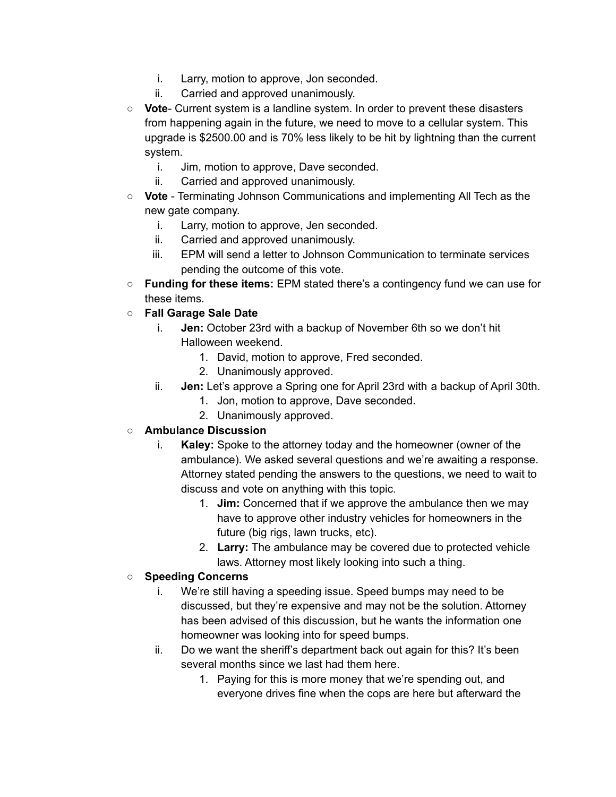- i. Larry, motion to approve, Jon seconded.
- ii. Carried and approved unanimously.
- **Vote** Current system is a landline system. In order to prevent these disasters from happening again in the future, we need to move to a cellular system. This upgrade is \$2500.00 and is 70% less likely to be hit by lightning than the current system.
	- i. Jim, motion to approve, Dave seconded.
	- ii. Carried and approved unanimously.
- **○ Vote** Terminating Johnson Communications and implementing All Tech as the new gate company.
	- i. Larry, motion to approve, Jen seconded.
	- ii. Carried and approved unanimously.
	- iii. EPM will send a letter to Johnson Communication to terminate services pending the outcome of this vote.
- **Funding for these items:** EPM stated there's a contingency fund we can use for these items.
- **○ Fall Garage Sale Date**
	- i. **Jen:** October 23rd with a backup of November 6th so we don't hit Halloween weekend.
		- 1. David, motion to approve, Fred seconded.
		- 2. Unanimously approved.
	- ii. **Jen:** Let's approve a Spring one for April 23rd with a backup of April 30th.
		- 1. Jon, motion to approve, Dave seconded.
		- 2. Unanimously approved.

### **○ Ambulance Discussion**

- i. **Kaley:** Spoke to the attorney today and the homeowner (owner of the ambulance). We asked several questions and we're awaiting a response. Attorney stated pending the answers to the questions, we need to wait to discuss and vote on anything with this topic.
	- 1. **Jim:** Concerned that if we approve the ambulance then we may have to approve other industry vehicles for homeowners in the future (big rigs, lawn trucks, etc).
	- 2. **Larry:** The ambulance may be covered due to protected vehicle laws. Attorney most likely looking into such a thing.

### **○ Speeding Concerns**

- i. We're still having a speeding issue. Speed bumps may need to be discussed, but they're expensive and may not be the solution. Attorney has been advised of this discussion, but he wants the information one homeowner was looking into for speed bumps.
- ii. Do we want the sheriff's department back out again for this? It's been several months since we last had them here.
	- 1. Paying for this is more money that we're spending out, and everyone drives fine when the cops are here but afterward the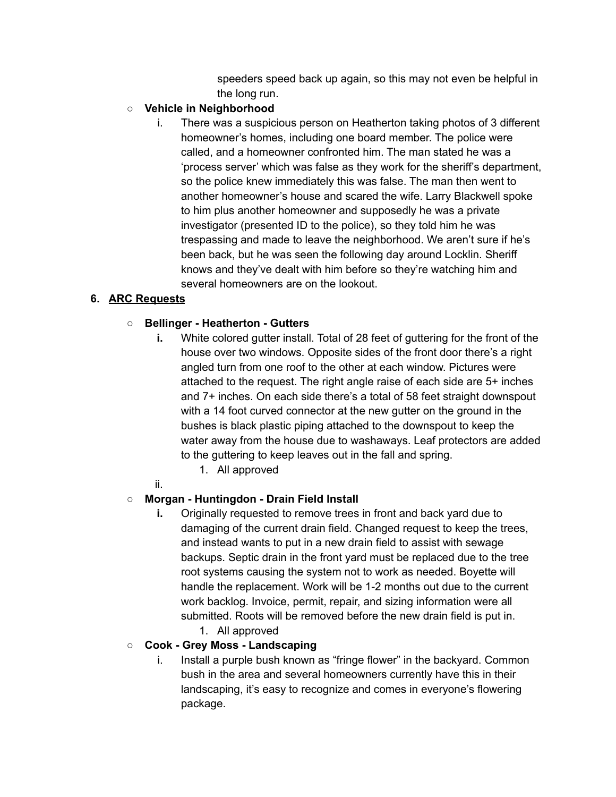speeders speed back up again, so this may not even be helpful in the long run.

#### **○ Vehicle in Neighborhood**

i. There was a suspicious person on Heatherton taking photos of 3 different homeowner's homes, including one board member. The police were called, and a homeowner confronted him. The man stated he was a 'process server' which was false as they work for the sheriff's department, so the police knew immediately this was false. The man then went to another homeowner's house and scared the wife. Larry Blackwell spoke to him plus another homeowner and supposedly he was a private investigator (presented ID to the police), so they told him he was trespassing and made to leave the neighborhood. We aren't sure if he's been back, but he was seen the following day around Locklin. Sheriff knows and they've dealt with him before so they're watching him and several homeowners are on the lookout.

### **6. ARC Requests**

### **○ Bellinger - Heatherton - Gutters**

- **i.** White colored gutter install. Total of 28 feet of guttering for the front of the house over two windows. Opposite sides of the front door there's a right angled turn from one roof to the other at each window. Pictures were attached to the request. The right angle raise of each side are 5+ inches and 7+ inches. On each side there's a total of 58 feet straight downspout with a 14 foot curved connector at the new gutter on the ground in the bushes is black plastic piping attached to the downspout to keep the water away from the house due to washaways. Leaf protectors are added to the guttering to keep leaves out in the fall and spring.
	- 1. All approved
- ii.

### **○ Morgan - Huntingdon - Drain Field Install**

- **i.** Originally requested to remove trees in front and back yard due to damaging of the current drain field. Changed request to keep the trees, and instead wants to put in a new drain field to assist with sewage backups. Septic drain in the front yard must be replaced due to the tree root systems causing the system not to work as needed. Boyette will handle the replacement. Work will be 1-2 months out due to the current work backlog. Invoice, permit, repair, and sizing information were all submitted. Roots will be removed before the new drain field is put in.
	- 1. All approved

### **○ Cook - Grey Moss - Landscaping**

i. Install a purple bush known as "fringe flower" in the backyard. Common bush in the area and several homeowners currently have this in their landscaping, it's easy to recognize and comes in everyone's flowering package.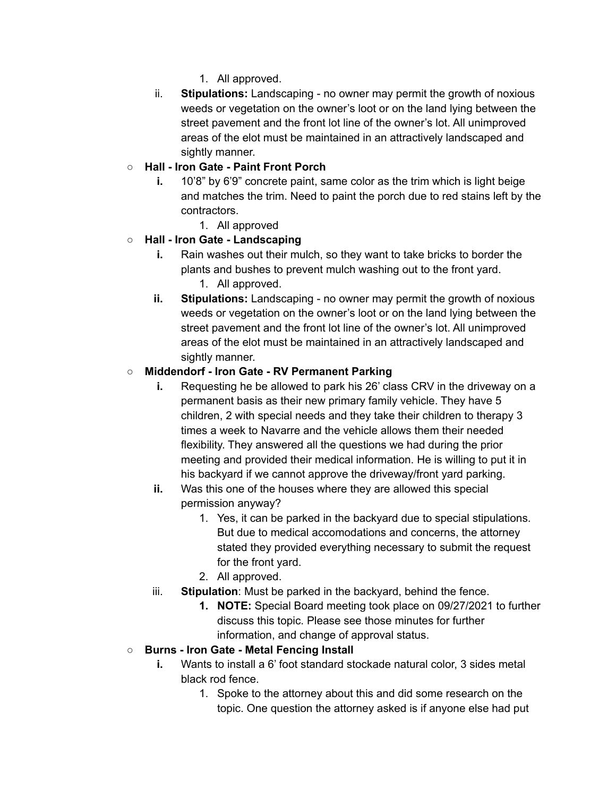- 1. All approved.
- ii. **Stipulations:** Landscaping no owner may permit the growth of noxious weeds or vegetation on the owner's loot or on the land lying between the street pavement and the front lot line of the owner's lot. All unimproved areas of the elot must be maintained in an attractively landscaped and sightly manner.

## **○ Hall - Iron Gate - Paint Front Porch**

- **i.** 10'8" by 6'9" concrete paint, same color as the trim which is light beige and matches the trim. Need to paint the porch due to red stains left by the contractors.
	- 1. All approved

### **○ Hall - Iron Gate - Landscaping**

- **i.** Rain washes out their mulch, so they want to take bricks to border the plants and bushes to prevent mulch washing out to the front yard. 1. All approved.
- **ii. Stipulations:** Landscaping no owner may permit the growth of noxious weeds or vegetation on the owner's loot or on the land lying between the street pavement and the front lot line of the owner's lot. All unimproved areas of the elot must be maintained in an attractively landscaped and sightly manner.

### **○ Middendorf - Iron Gate - RV Permanent Parking**

- **i.** Requesting he be allowed to park his 26' class CRV in the driveway on a permanent basis as their new primary family vehicle. They have 5 children, 2 with special needs and they take their children to therapy 3 times a week to Navarre and the vehicle allows them their needed flexibility. They answered all the questions we had during the prior meeting and provided their medical information. He is willing to put it in his backyard if we cannot approve the driveway/front yard parking.
- **ii.** Was this one of the houses where they are allowed this special permission anyway?
	- 1. Yes, it can be parked in the backyard due to special stipulations. But due to medical accomodations and concerns, the attorney stated they provided everything necessary to submit the request for the front yard.
	- 2. All approved.
- iii. **Stipulation**: Must be parked in the backyard, behind the fence.
	- **1. NOTE:** Special Board meeting took place on 09/27/2021 to further discuss this topic. Please see those minutes for further information, and change of approval status.

### **○ Burns - Iron Gate - Metal Fencing Install**

- **i.** Wants to install a 6' foot standard stockade natural color, 3 sides metal black rod fence.
	- 1. Spoke to the attorney about this and did some research on the topic. One question the attorney asked is if anyone else had put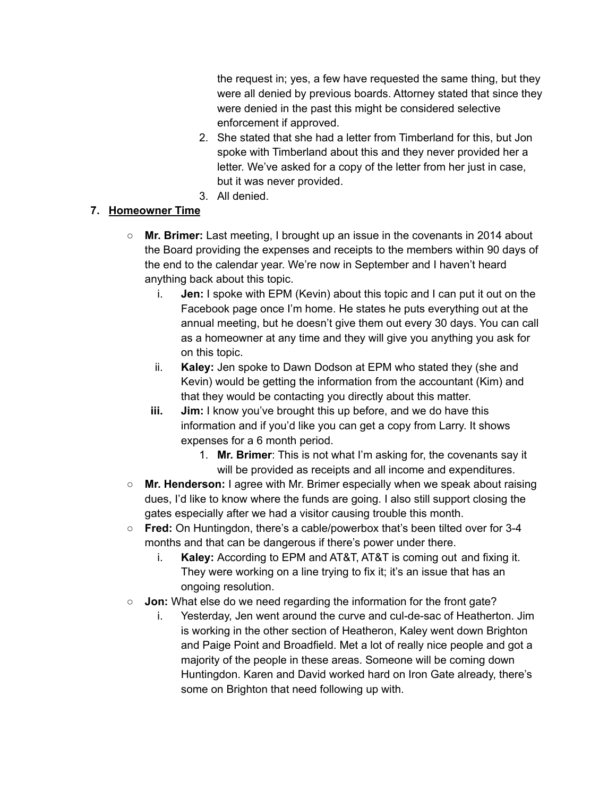the request in; yes, a few have requested the same thing, but they were all denied by previous boards. Attorney stated that since they were denied in the past this might be considered selective enforcement if approved.

- 2. She stated that she had a letter from Timberland for this, but Jon spoke with Timberland about this and they never provided her a letter. We've asked for a copy of the letter from her just in case, but it was never provided.
- 3. All denied.

# **7. Homeowner Time**

- **○ Mr. Brimer:** Last meeting, I brought up an issue in the covenants in 2014 about the Board providing the expenses and receipts to the members within 90 days of the end to the calendar year. We're now in September and I haven't heard anything back about this topic.
	- i. **Jen:** I spoke with EPM (Kevin) about this topic and I can put it out on the Facebook page once I'm home. He states he puts everything out at the annual meeting, but he doesn't give them out every 30 days. You can call as a homeowner at any time and they will give you anything you ask for on this topic.
	- ii. **Kaley:** Jen spoke to Dawn Dodson at EPM who stated they (she and Kevin) would be getting the information from the accountant (Kim) and that they would be contacting you directly about this matter.
	- **iii. Jim:** I know you've brought this up before, and we do have this information and if you'd like you can get a copy from Larry. It shows expenses for a 6 month period.
		- 1. **Mr. Brimer**: This is not what I'm asking for, the covenants say it will be provided as receipts and all income and expenditures.
- **Mr. Henderson:** I agree with Mr. Brimer especially when we speak about raising dues, I'd like to know where the funds are going. I also still support closing the gates especially after we had a visitor causing trouble this month.
- **Fred:** On Huntingdon, there's a cable/powerbox that's been tilted over for 3-4 months and that can be dangerous if there's power under there.
	- i. **Kaley:** According to EPM and AT&T, AT&T is coming out and fixing it. They were working on a line trying to fix it; it's an issue that has an ongoing resolution.
- **Jon:** What else do we need regarding the information for the front gate?
	- i. Yesterday, Jen went around the curve and cul-de-sac of Heatherton. Jim is working in the other section of Heatheron, Kaley went down Brighton and Paige Point and Broadfield. Met a lot of really nice people and got a majority of the people in these areas. Someone will be coming down Huntingdon. Karen and David worked hard on Iron Gate already, there's some on Brighton that need following up with.